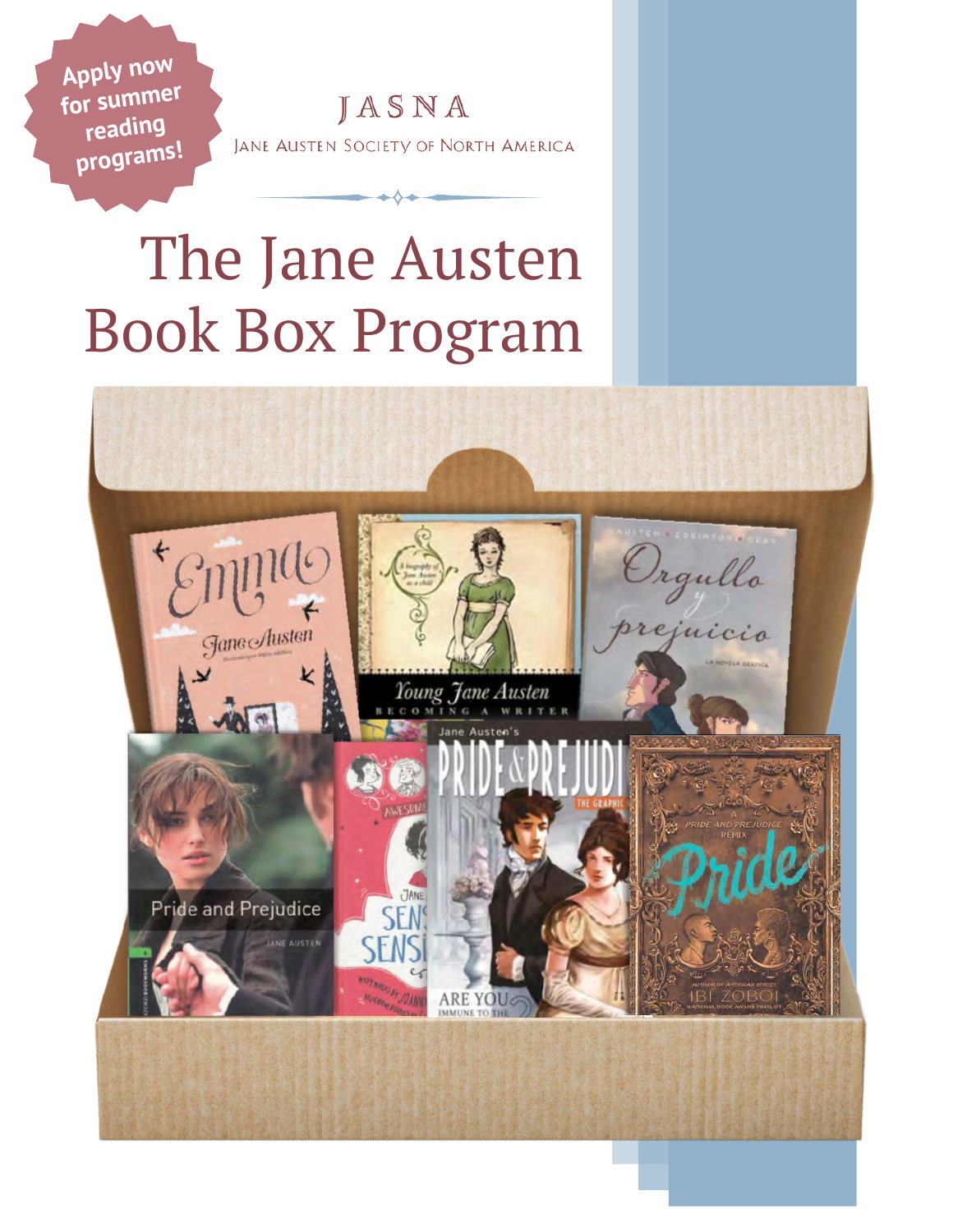JASNA JANE AUSTEN SOCIETY OF NORTH AMERICA

Apply now for summer reading programs!

# The Jane Austen **Book Box Program**

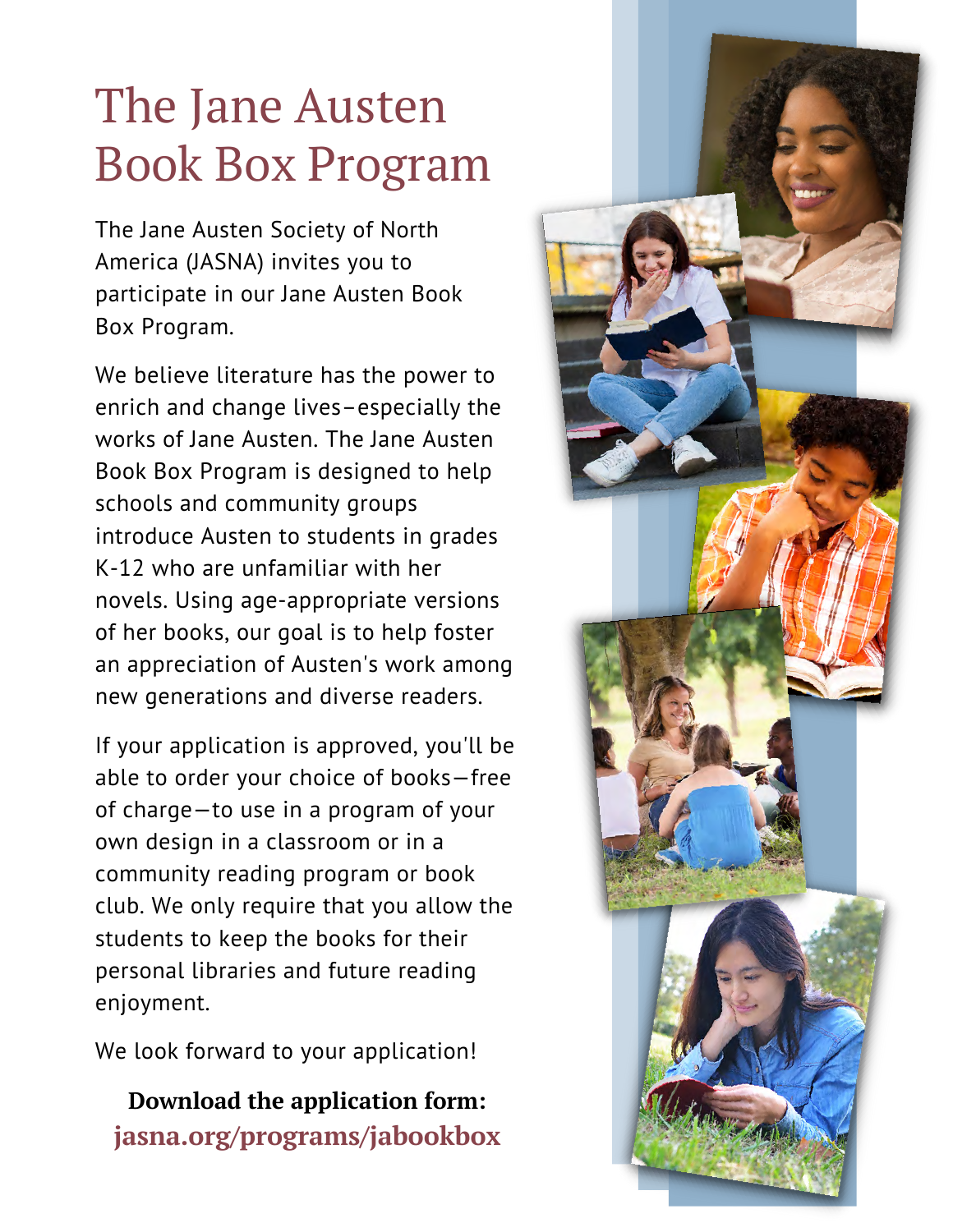## The Jane Austen Book Box Program

The Jane Austen Society of North America (JASNA) invites you to participate in our Jane Austen Book Box Program.

We believe literature has the power to enrich and change lives–especially the works of Jane Austen. The Jane Austen Book Box Program is designed to help schools and community groups introduce Austen to students in grades K-12 who are unfamiliar with her novels. Using age-appropriate versions of her books, our goal is to help foster an appreciation of Austen's work among new generations and diverse readers.

If your application is approved, you'll be able to order your choice of books—free of charge—to use in a program of your own design in a classroom or in a community reading program or book club. We only require that you allow the students to keep the books for their personal libraries and future reading enjoyment.

We look forward to your application!

**Download the application form: jasna.org/programs/jabookbox**

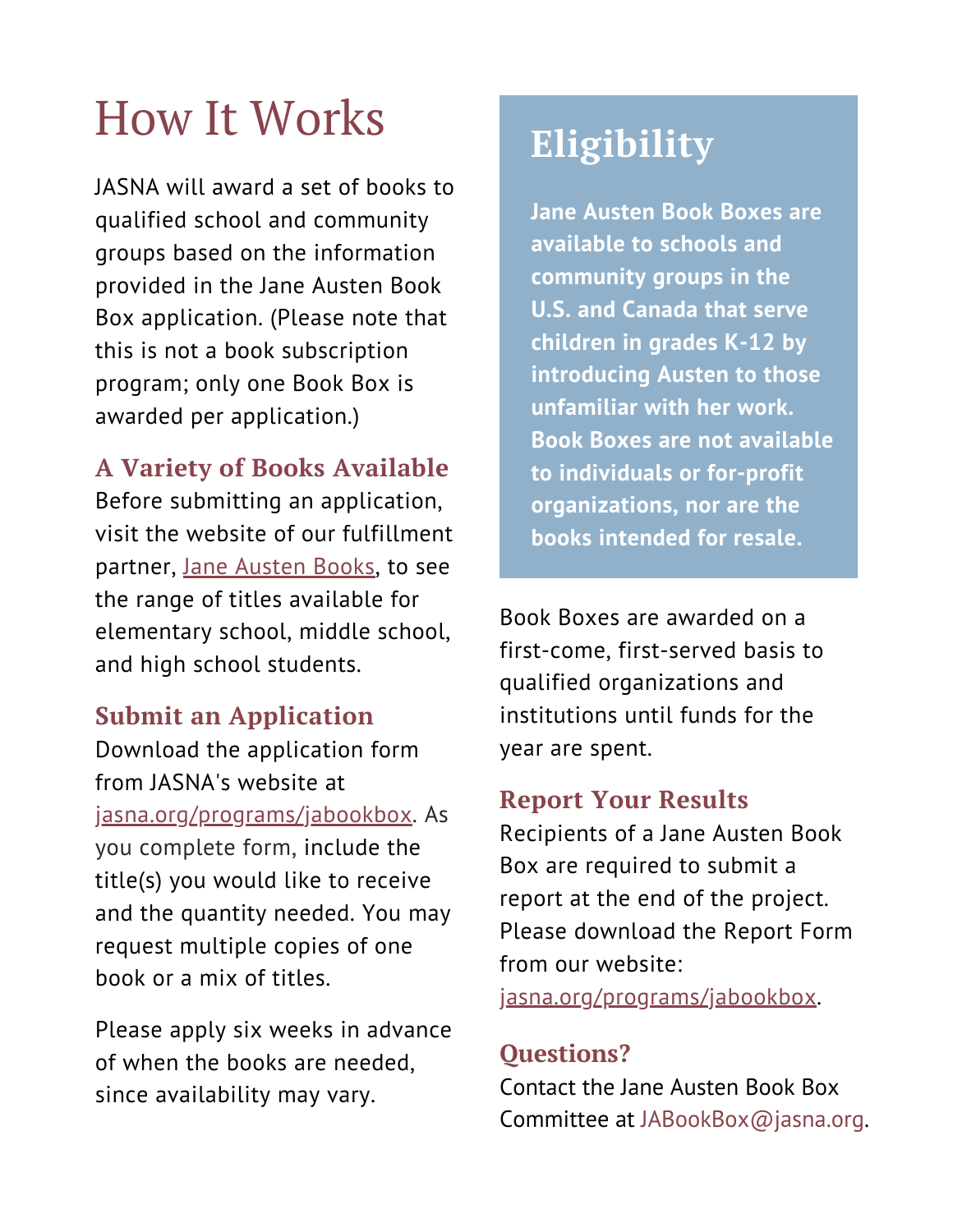# How It Works **Eligibility**

JASNA will award a set of books to qualified school and community groups based on the information provided in the Jane Austen Book Box application. (Please note that this is not a book subscription program; only one Book Box is awarded per application.)

## **A Variety of Books Available**

Before submitting an application, visit the website of our fulfillment partner, [Jane Austen Books](https://www.janeaustenbooks.net/collections/jasna-jane-austen-bookbox), to see the range of titles available for elementary school, middle school, and high school students.

### **Submit an Application**

Download the application form from JASNA's website at [jasna.org/programs/jabookbox](http://jasna.org/programs/jabookbox). As you complete form, include the title(s) you would like to receive and the quantity needed. You may request multiple copies of one book or a mix of titles.

Please apply six weeks in advance of when the books are needed, since availability may vary.

**Jane Austen Book Boxes are available to schools and community groups in the U.S. and Canada that serve children in grades K-12 by introducing Austen to those unfamiliar with her work. Book Boxes are not available to individuals or for-profit organizations, nor are the books intended for resale.**

Book Boxes are awarded on a first-come, first-served basis to qualified organizations and institutions until funds for the year are spent.

## **Report Your Results**

Recipients of a Jane Austen Book Box are required to submit a report at the end of the project. Please download the Report Form from our website:

j[asna.org/programs/jabookbox.](http://jasna.org/programs/jabookbox)

## **Questions?**

Contact the Jane Austen Book Box Committee at [JABookBox@jasna.org.](mailto:JABookBox@jasna.org)